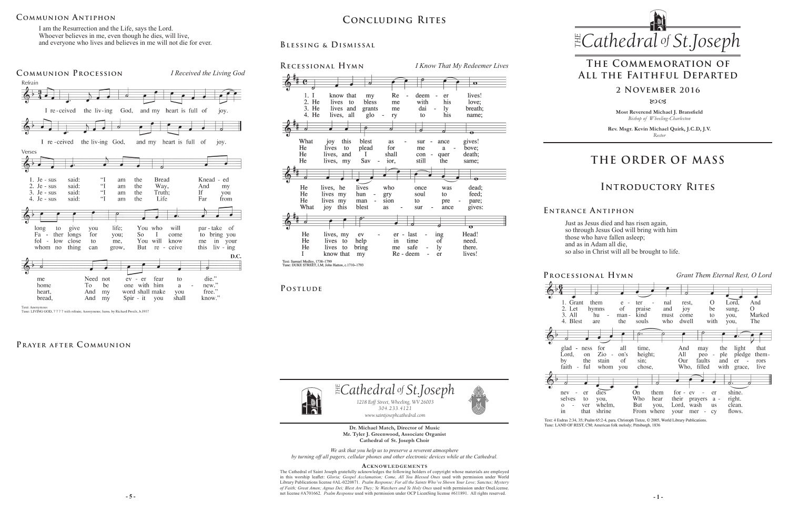# **COMMUNION ANTIPHON**

**Most Reverend Michael J. Bransfield** *Bishop of Wheeling-Charleston*

**Rev. Msgr. Kevin Michael Quirk, J.C.D, J.V.** *Rector*



Just as Jesus died and has risen again, so through Jesus God will bring with him those who have fallen asleep; and as in Adam all die, so also in Christ will all be brought to life.

Text: 4 Esdras 2:34, 35; Psalm 65:2-4, para. Christoph Tietze, © 2005, World Library Publications Tune: LAND OF REST, CM; American folk melody; Pittsburgh, 1836

*We ask that you help us to preserve a reverent atmosphere by turning off all pagers, cellular phones and other electronic devices while at the Cathedral.*

**5 -**  $\overline{5}$  -  $\overline{5}$  -  $\overline{5}$  -  $\overline{5}$  -  $\overline{5}$  -  $\overline{5}$  -  $\overline{5}$  -  $\overline{5}$  -  $\overline{5}$  -  $\overline{5}$  -  $\overline{5}$  -  $\overline{5}$  -  $\overline{5}$  -  $\overline{5}$  -  $\overline{5}$  -  $\overline{5}$  -  $\overline{5}$  -  $\overline{5}$  -  $\overline{5}$  -  $\overline{5}$ The Cathedral of Saint Joseph gratefully acknowledges the following holders of copyright whose materials are employed in this worship leaflet: *Gloria; Gospel Acclamation; Come, All You Blessed Ones* used with permission under World Library Publications license #AL-0220871. *Psalm Response; For all the Saints Who've Shown Your Love; Sanctus; Mystery of Faith; Great Amen; Agnus Dei; Blest Are They; Ye Watchers and Ye Holy Ones* used with permission under OneLicense.

2. Let  $3. All$ 

#### **Acknowledgement s**

 $\mathbb{E}$ Cathedral of St.Joseph *1218 Eoff Street, Wheeling, WV 26003 304.233.4121 304.233.4121 www.saintjosephcathedral.com*

> **Dr. Michael Match, Director of Music Mr. Tyler J. Greenwood, Associate Organist Cathedral of St. Joseph Choir** *www.saintjosephcathedral.com*

I am the Resurrection and the Life, says the Lord. Whoever believes in me, even though he dies, will live, and everyone who lives and believes in me will not die for ever.

# **THE ORDER OF MASS**

**E ntrance A ntiphon**

# **Introductory Rites**

# **The Commemoration of All the Faithful Departed**

#### **2 November 2016**

80CB



**Blessing & Dismissal**



| RECESSIONAL HYMN                                                                                         |                                                                                 | I Know That My Redeemer Lives                         |                                     |
|----------------------------------------------------------------------------------------------------------|---------------------------------------------------------------------------------|-------------------------------------------------------|-------------------------------------|
|                                                                                                          | 7                                                                               |                                                       | $\mathbf o$                         |
| know that<br>1.<br>Ι<br>2. He<br>lives<br>to<br>3. He<br>lives and<br>4. He<br>all<br>lives,             | Re<br>my<br>bless<br>me<br>grants<br>me<br>glo<br>ry                            | deem<br>er<br>his<br>with<br>dai<br>1y<br>his<br>to   | lives!<br>love:<br>breath;<br>name; |
|                                                                                                          | 7                                                                               | 6                                                     | $\bullet$                           |
| What<br>this<br>joy<br>He<br>lives<br>to<br>He<br>lives,<br>and<br>He<br>lives,<br>my                    | blest<br>as<br>plead<br>for<br>shall<br>I<br>Sav<br>ior,                        | ance<br>sur<br>me<br>a<br>con<br>quer<br>still<br>the | gives!<br>bove;<br>death;<br>same;  |
|                                                                                                          |                                                                                 |                                                       | $\bullet$                           |
| He<br>lives, he<br>He<br>lives my<br>He<br>lives<br>my<br>What<br>this<br>joy                            | who<br>lives<br>hun<br>gry<br>sion<br>man<br>blest<br>as                        | once<br>was<br>soul<br>to<br>to<br>pre<br>ance<br>sur | dead;<br>feed;<br>pare;<br>gives:   |
|                                                                                                          |                                                                                 |                                                       | $\bullet$                           |
| He<br>lives, my<br>He<br>lives<br>to<br>He<br>lives<br>to<br>know that<br>Text: Samuel Medley, 1738-1799 | er - last<br>ev<br>help<br>time<br>in<br>safe<br>bring<br>me<br>Re - deem<br>my | ing<br>of<br>ly<br>er                                 | Head!<br>need.<br>there.<br>lives!  |

**P ostlude**



Tune: LIVING GOD, 7777 with refrain; Anonymous; harm. by Richard Proulx, b.1937

### PRAYER AFTER COMMUNION